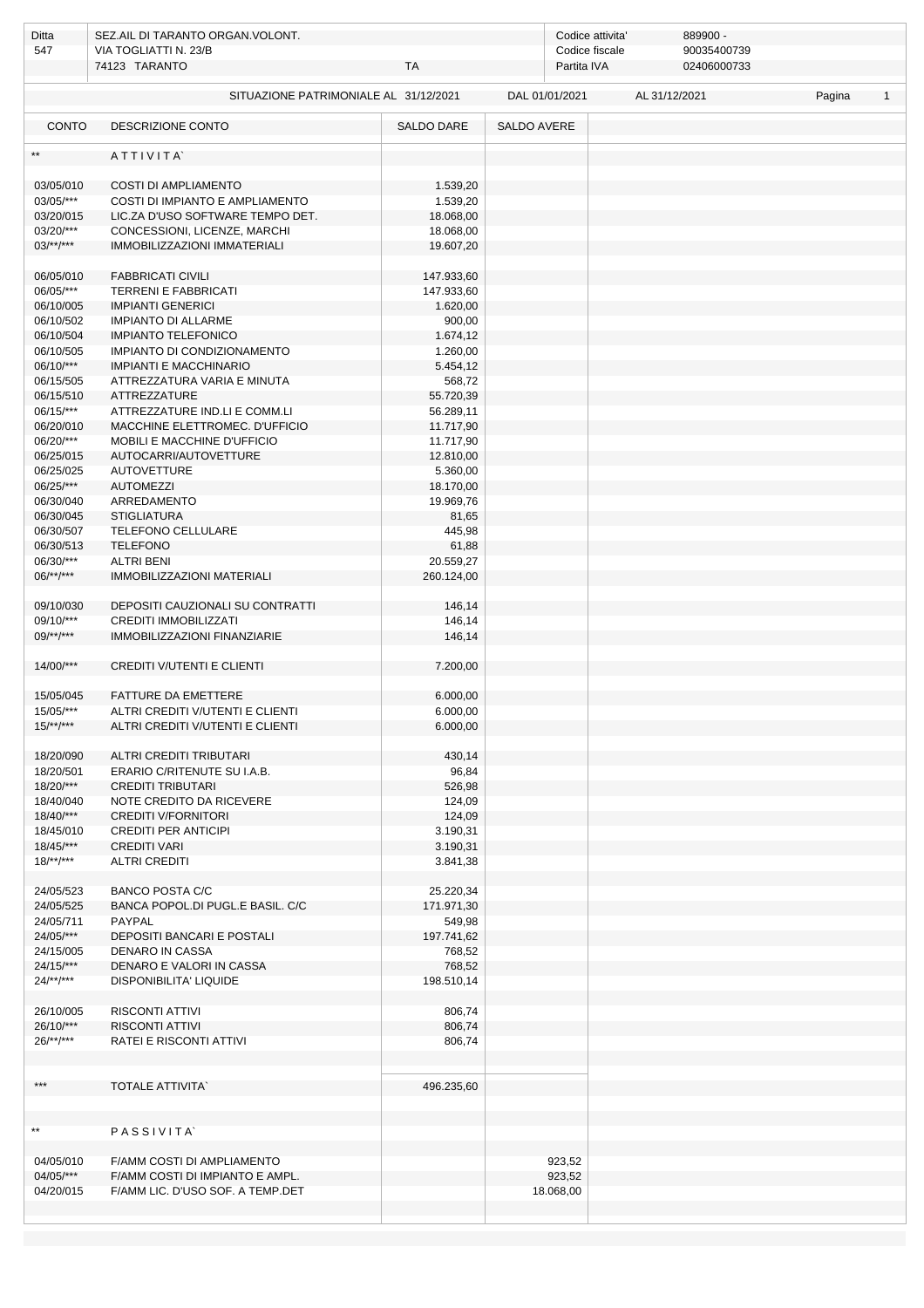| Ditta                  | SEZ.AIL DI TARANTO ORGAN. VOLONT.     |                 |                    | Codice attivita'<br>889900 -  |               |  |  |        |              |  |
|------------------------|---------------------------------------|-----------------|--------------------|-------------------------------|---------------|--|--|--------|--------------|--|
| 547                    | VIA TOGLIATTI N. 23/B                 |                 |                    | 90035400739<br>Codice fiscale |               |  |  |        |              |  |
|                        | 74123 TARANTO                         | <b>TA</b>       |                    | 02406000733<br>Partita IVA    |               |  |  |        |              |  |
|                        | SITUAZIONE PATRIMONIALE AL 31/12/2021 |                 | DAL 01/01/2021     |                               | AL 31/12/2021 |  |  | Pagina | $\mathbf{1}$ |  |
| <b>CONTO</b>           | DESCRIZIONE CONTO                     | SALDO DARE      | <b>SALDO AVERE</b> |                               |               |  |  |        |              |  |
| $\star\star$           | ATTIVITA                              |                 |                    |                               |               |  |  |        |              |  |
| 03/05/010              | <b>COSTI DI AMPLIAMENTO</b>           | 1.539,20        |                    |                               |               |  |  |        |              |  |
| 03/05/***              | COSTI DI IMPIANTO E AMPLIAMENTO       | 1.539,20        |                    |                               |               |  |  |        |              |  |
| 03/20/015              | LIC.ZA D'USO SOFTWARE TEMPO DET.      | 18.068,00       |                    |                               |               |  |  |        |              |  |
| 03/20/***              | CONCESSIONI, LICENZE, MARCHI          | 18.068,00       |                    |                               |               |  |  |        |              |  |
| $03$ /**/***           | IMMOBILIZZAZIONI IMMATERIALI          | 19.607,20       |                    |                               |               |  |  |        |              |  |
| 06/05/010              | <b>FABBRICATI CIVILI</b>              | 147.933,60      |                    |                               |               |  |  |        |              |  |
| 06/05/***              | <b>TERRENI E FABBRICATI</b>           | 147.933,60      |                    |                               |               |  |  |        |              |  |
| 06/10/005              | <b>IMPIANTI GENERICI</b>              | 1.620,00        |                    |                               |               |  |  |        |              |  |
| 06/10/502              | IMPIANTO DI ALLARME                   | 900,00          |                    |                               |               |  |  |        |              |  |
| 06/10/504              | <b>IMPIANTO TELEFONICO</b>            | 1.674,12        |                    |                               |               |  |  |        |              |  |
| 06/10/505              | IMPIANTO DI CONDIZIONAMENTO           | 1.260,00        |                    |                               |               |  |  |        |              |  |
| 06/10/***              | <b>IMPIANTI E MACCHINARIO</b>         | 5.454,12        |                    |                               |               |  |  |        |              |  |
| 06/15/505              | ATTREZZATURA VARIA E MINUTA           | 568,72          |                    |                               |               |  |  |        |              |  |
| 06/15/510              | <b>ATTREZZATURE</b>                   | 55.720,39       |                    |                               |               |  |  |        |              |  |
| $06/15$ /***           | ATTREZZATURE IND.LI E COMM.LI         | 56.289,11       |                    |                               |               |  |  |        |              |  |
| 06/20/010              | MACCHINE ELETTROMEC. D'UFFICIO        | 11.717,90       |                    |                               |               |  |  |        |              |  |
| 06/20/***              | MOBILI E MACCHINE D'UFFICIO           | 11.717,90       |                    |                               |               |  |  |        |              |  |
| 06/25/015              | AUTOCARRI/AUTOVETTURE                 | 12.810,00       |                    |                               |               |  |  |        |              |  |
| 06/25/025              | <b>AUTOVETTURE</b>                    | 5.360,00        |                    |                               |               |  |  |        |              |  |
| 06/25/***              | <b>AUTOMEZZI</b>                      | 18.170,00       |                    |                               |               |  |  |        |              |  |
| 06/30/040<br>06/30/045 | ARREDAMENTO<br><b>STIGLIATURA</b>     | 19.969,76       |                    |                               |               |  |  |        |              |  |
| 06/30/507              | TELEFONO CELLULARE                    | 81,65<br>445,98 |                    |                               |               |  |  |        |              |  |
| 06/30/513              | <b>TELEFONO</b>                       | 61,88           |                    |                               |               |  |  |        |              |  |
| 06/30/***              | <b>ALTRI BENI</b>                     | 20.559,27       |                    |                               |               |  |  |        |              |  |
| $06$ /**/***           | <b>IMMOBILIZZAZIONI MATERIALI</b>     | 260.124,00      |                    |                               |               |  |  |        |              |  |
|                        |                                       |                 |                    |                               |               |  |  |        |              |  |
| 09/10/030              | DEPOSITI CAUZIONALI SU CONTRATTI      | 146,14          |                    |                               |               |  |  |        |              |  |
| 09/10/***              | CREDITI IMMOBILIZZATI                 | 146,14          |                    |                               |               |  |  |        |              |  |
| $09$ /**/***           | IMMOBILIZZAZIONI FINANZIARIE          | 146,14          |                    |                               |               |  |  |        |              |  |
|                        |                                       |                 |                    |                               |               |  |  |        |              |  |
| 14/00/***              | <b>CREDITI V/UTENTI E CLIENTI</b>     | 7.200,00        |                    |                               |               |  |  |        |              |  |
| 15/05/045              | FATTURE DA EMETTERE                   | 6.000,00        |                    |                               |               |  |  |        |              |  |
| 15/05/***              | ALTRI CREDITI V/UTENTI E CLIENTI      | 6.000,00        |                    |                               |               |  |  |        |              |  |
| $15$ /**/***           | ALTRI CREDITI V/UTENTI E CLIENTI      | 6.000,00        |                    |                               |               |  |  |        |              |  |
|                        |                                       |                 |                    |                               |               |  |  |        |              |  |
| 18/20/090              | ALTRI CREDITI TRIBUTARI               | 430,14          |                    |                               |               |  |  |        |              |  |
| 18/20/501              | ERARIO C/RITENUTE SU I.A.B.           | 96,84           |                    |                               |               |  |  |        |              |  |
| 18/20/***              | <b>CREDITI TRIBUTARI</b>              | 526,98          |                    |                               |               |  |  |        |              |  |
| 18/40/040              | NOTE CREDITO DA RICEVERE              | 124,09          |                    |                               |               |  |  |        |              |  |
| $18/40$ /***           | <b>CREDITI V/FORNITORI</b>            | 124,09          |                    |                               |               |  |  |        |              |  |
| 18/45/010              | CREDITI PER ANTICIPI                  | 3.190,31        |                    |                               |               |  |  |        |              |  |
| $18/45$ /***           | <b>CREDITI VARI</b>                   | 3.190,31        |                    |                               |               |  |  |        |              |  |
| $18$ /**/***           | <b>ALTRI CREDITI</b>                  | 3.841,38        |                    |                               |               |  |  |        |              |  |
| 24/05/523              | <b>BANCO POSTA C/C</b>                | 25.220,34       |                    |                               |               |  |  |        |              |  |
| 24/05/525              | BANCA POPOL.DI PUGL.E BASIL. C/C      | 171.971,30      |                    |                               |               |  |  |        |              |  |
| 24/05/711              | PAYPAL                                | 549,98          |                    |                               |               |  |  |        |              |  |
| 24/05/***              | DEPOSITI BANCARI E POSTALI            | 197.741,62      |                    |                               |               |  |  |        |              |  |
| 24/15/005              | DENARO IN CASSA                       | 768,52          |                    |                               |               |  |  |        |              |  |
| $24/15$ /***           | DENARO E VALORI IN CASSA              | 768,52          |                    |                               |               |  |  |        |              |  |
| $24$ /**/***           | DISPONIBILITA' LIQUIDE                | 198.510,14      |                    |                               |               |  |  |        |              |  |
| 26/10/005              | RISCONTI ATTIVI                       | 806,74          |                    |                               |               |  |  |        |              |  |
| $26/10$ /***           | <b>RISCONTI ATTIVI</b>                | 806,74          |                    |                               |               |  |  |        |              |  |
| $26$ /**/***           | RATEI E RISCONTI ATTIVI               | 806,74          |                    |                               |               |  |  |        |              |  |
|                        |                                       |                 |                    |                               |               |  |  |        |              |  |
|                        |                                       |                 |                    |                               |               |  |  |        |              |  |
| ***                    | <b>TOTALE ATTIVITA</b>                | 496.235,60      |                    |                               |               |  |  |        |              |  |
|                        |                                       |                 |                    |                               |               |  |  |        |              |  |
|                        |                                       |                 |                    |                               |               |  |  |        |              |  |
| $\star\star$           | <b>PASSIVITA</b>                      |                 |                    |                               |               |  |  |        |              |  |
|                        |                                       |                 |                    |                               |               |  |  |        |              |  |
| 04/05/010              | F/AMM COSTI DI AMPLIAMENTO            |                 |                    | 923,52                        |               |  |  |        |              |  |
| 04/05/***              | F/AMM COSTI DI IMPIANTO E AMPL.       |                 |                    | 923,52                        |               |  |  |        |              |  |
| 04/20/015              | F/AMM LIC. D'USO SOF. A TEMP.DET      |                 |                    | 18.068,00                     |               |  |  |        |              |  |
|                        |                                       |                 |                    |                               |               |  |  |        |              |  |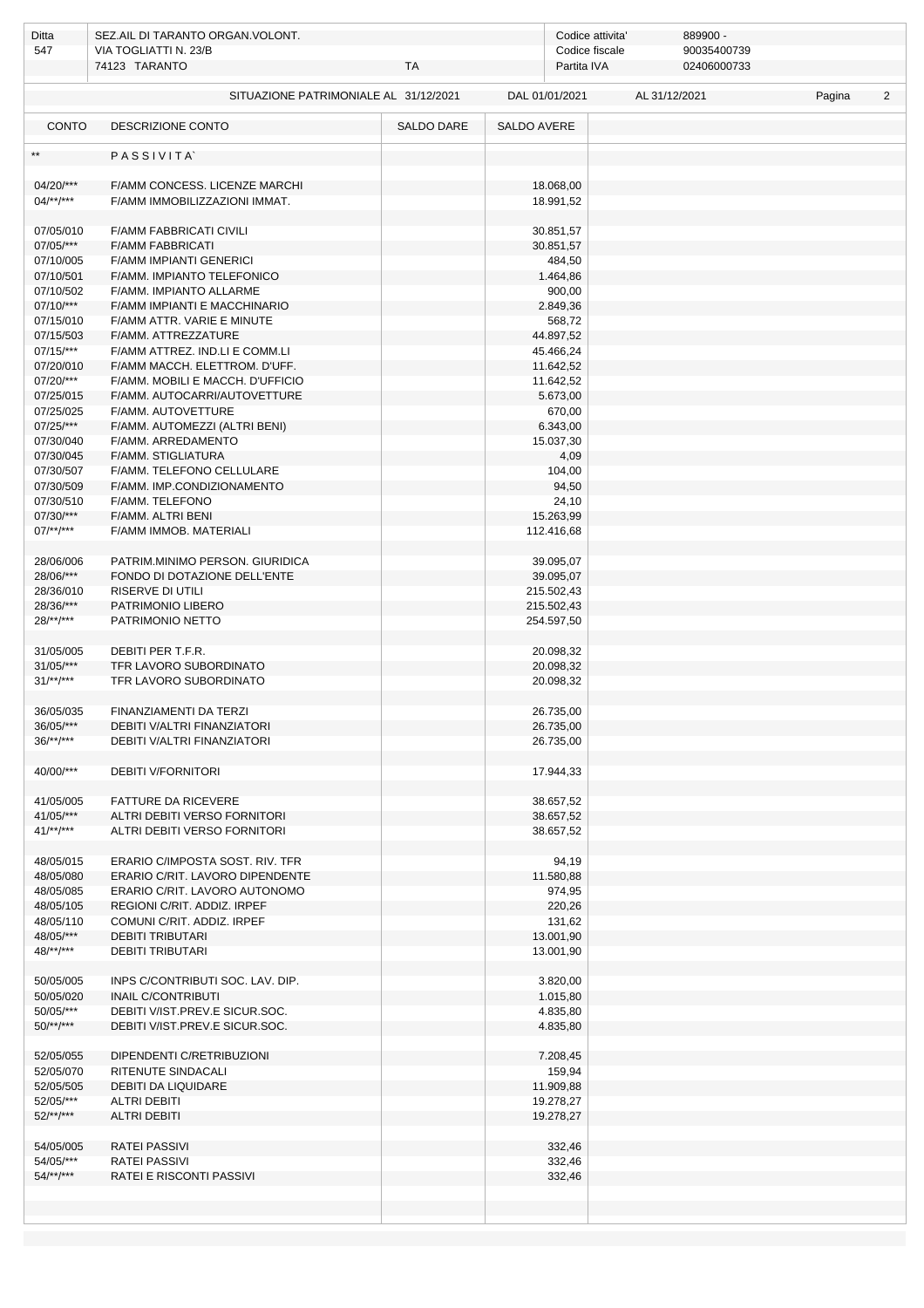| Ditta                     | SEZ.AIL DI TARANTO ORGAN.VOLONT.                                 |            |                          | Codice attivita'<br>889900 - |               |        |                |  |  |  |
|---------------------------|------------------------------------------------------------------|------------|--------------------------|------------------------------|---------------|--------|----------------|--|--|--|
| 547                       | VIA TOGLIATTI N. 23/B                                            |            |                          | Codice fiscale               | 90035400739   |        |                |  |  |  |
|                           | 74123 TARANTO                                                    | TA         |                          | Partita IVA                  | 02406000733   |        |                |  |  |  |
|                           | SITUAZIONE PATRIMONIALE AL 31/12/2021                            |            | DAL 01/01/2021           |                              | AL 31/12/2021 | Pagina | $\overline{2}$ |  |  |  |
|                           |                                                                  |            |                          |                              |               |        |                |  |  |  |
| <b>CONTO</b>              | DESCRIZIONE CONTO                                                | SALDO DARE | SALDO AVERE              |                              |               |        |                |  |  |  |
| $**$                      | PASSIVITA                                                        |            |                          |                              |               |        |                |  |  |  |
|                           |                                                                  |            |                          |                              |               |        |                |  |  |  |
| 04/20/***                 | F/AMM CONCESS. LICENZE MARCHI                                    |            |                          | 18.068,00                    |               |        |                |  |  |  |
| $04$ /**/***              | F/AMM IMMOBILIZZAZIONI IMMAT.                                    |            |                          | 18.991,52                    |               |        |                |  |  |  |
|                           | <b>F/AMM FABBRICATI CIVILI</b>                                   |            |                          | 30.851,57                    |               |        |                |  |  |  |
| 07/05/010<br>07/05/***    | <b>F/AMM FABBRICATI</b>                                          |            |                          | 30.851,57                    |               |        |                |  |  |  |
| 07/10/005                 | <b>F/AMM IMPIANTI GENERICI</b>                                   |            |                          | 484,50                       |               |        |                |  |  |  |
| 07/10/501                 | F/AMM. IMPIANTO TELEFONICO                                       |            |                          | 1.464,86                     |               |        |                |  |  |  |
| 07/10/502                 | F/AMM. IMPIANTO ALLARME                                          |            |                          | 900,00                       |               |        |                |  |  |  |
| $07/10/***$               | F/AMM IMPIANTI E MACCHINARIO                                     |            |                          | 2.849,36                     |               |        |                |  |  |  |
| 07/15/010                 | F/AMM ATTR. VARIE E MINUTE                                       |            |                          | 568,72                       |               |        |                |  |  |  |
| 07/15/503<br>$07/15$ /*** | F/AMM. ATTREZZATURE<br>F/AMM ATTREZ. IND.LI E COMM.LI            |            |                          | 44.897,52<br>45.466,24       |               |        |                |  |  |  |
| 07/20/010                 | F/AMM MACCH. ELETTROM. D'UFF.                                    |            |                          | 11.642,52                    |               |        |                |  |  |  |
| 07/20/***                 | F/AMM. MOBILI E MACCH. D'UFFICIO                                 |            |                          | 11.642,52                    |               |        |                |  |  |  |
| 07/25/015                 | F/AMM. AUTOCARRI/AUTOVETTURE                                     |            |                          | 5.673,00                     |               |        |                |  |  |  |
| 07/25/025                 | F/AMM. AUTOVETTURE                                               |            |                          | 670,00                       |               |        |                |  |  |  |
| 07/25/***                 | F/AMM. AUTOMEZZI (ALTRI BENI)                                    |            |                          | 6.343,00                     |               |        |                |  |  |  |
| 07/30/040                 | F/AMM. ARREDAMENTO                                               |            |                          | 15.037,30                    |               |        |                |  |  |  |
| 07/30/045                 | <b>F/AMM. STIGLIATURA</b>                                        |            |                          | 4,09                         |               |        |                |  |  |  |
| 07/30/507<br>07/30/509    | F/AMM. TELEFONO CELLULARE<br>F/AMM. IMP.CONDIZIONAMENTO          |            |                          | 104,00<br>94,50              |               |        |                |  |  |  |
| 07/30/510                 | F/AMM. TELEFONO                                                  |            |                          | 24,10                        |               |        |                |  |  |  |
| 07/30/***                 | F/AMM. ALTRI BENI                                                |            |                          | 15.263,99                    |               |        |                |  |  |  |
| $07$ /**/***              | F/AMM IMMOB. MATERIALI                                           |            | 112.416,68               |                              |               |        |                |  |  |  |
|                           |                                                                  |            |                          |                              |               |        |                |  |  |  |
| 28/06/006                 | PATRIM.MINIMO PERSON. GIURIDICA                                  |            |                          | 39.095,07                    |               |        |                |  |  |  |
| 28/06/***                 | FONDO DI DOTAZIONE DELL'ENTE                                     |            |                          | 39.095,07                    |               |        |                |  |  |  |
| 28/36/010<br>28/36/***    | RISERVE DI UTILI<br>PATRIMONIO LIBERO                            |            | 215.502,43<br>215.502,43 |                              |               |        |                |  |  |  |
| $28$ /**/***              | PATRIMONIO NETTO                                                 |            | 254.597,50               |                              |               |        |                |  |  |  |
|                           |                                                                  |            |                          |                              |               |        |                |  |  |  |
| 31/05/005                 | DEBITI PER T.F.R.                                                |            |                          | 20.098,32                    |               |        |                |  |  |  |
| 31/05/***                 | TFR LAVORO SUBORDINATO                                           |            |                          | 20.098,32                    |               |        |                |  |  |  |
| $31/**/***$               | TFR LAVORO SUBORDINATO                                           |            |                          | 20.098,32                    |               |        |                |  |  |  |
|                           |                                                                  |            |                          |                              |               |        |                |  |  |  |
| 36/05/035<br>$36/05$ /*** | FINANZIAMENTI DA TERZI<br>DEBITI V/ALTRI FINANZIATORI            |            |                          | 26.735,00<br>26.735,00       |               |        |                |  |  |  |
| $36$ /**/***              | DEBITI V/ALTRI FINANZIATORI                                      |            |                          | 26.735,00                    |               |        |                |  |  |  |
|                           |                                                                  |            |                          |                              |               |        |                |  |  |  |
| 40/00/***                 | <b>DEBITI V/FORNITORI</b>                                        |            |                          | 17.944,33                    |               |        |                |  |  |  |
| 41/05/005                 | FATTURE DA RICEVERE                                              |            |                          | 38.657,52                    |               |        |                |  |  |  |
| 41/05/***                 | ALTRI DEBITI VERSO FORNITORI                                     |            |                          | 38.657,52                    |               |        |                |  |  |  |
| $41$ /**/***              | ALTRI DEBITI VERSO FORNITORI                                     |            |                          | 38.657,52                    |               |        |                |  |  |  |
|                           |                                                                  |            |                          |                              |               |        |                |  |  |  |
| 48/05/015                 | ERARIO C/IMPOSTA SOST. RIV. TFR                                  |            |                          | 94,19                        |               |        |                |  |  |  |
| 48/05/080                 | ERARIO C/RIT. LAVORO DIPENDENTE                                  |            |                          | 11.580,88                    |               |        |                |  |  |  |
| 48/05/085                 | ERARIO C/RIT. LAVORO AUTONOMO<br>REGIONI C/RIT, ADDIZ, IRPEF     |            |                          | 974,95                       |               |        |                |  |  |  |
| 48/05/105<br>48/05/110    | COMUNI C/RIT. ADDIZ. IRPEF                                       |            |                          | 220,26<br>131,62             |               |        |                |  |  |  |
| 48/05/***                 | <b>DEBITI TRIBUTARI</b>                                          |            |                          | 13.001,90                    |               |        |                |  |  |  |
| $48$ /**/***              | <b>DEBITI TRIBUTARI</b>                                          |            |                          | 13.001,90                    |               |        |                |  |  |  |
|                           |                                                                  |            |                          |                              |               |        |                |  |  |  |
| 50/05/005                 | INPS C/CONTRIBUTI SOC. LAV. DIP.                                 |            |                          | 3.820,00                     |               |        |                |  |  |  |
| 50/05/020                 | <b>INAIL C/CONTRIBUTI</b>                                        |            |                          | 1.015,80                     |               |        |                |  |  |  |
| 50/05/***<br>$50$ /**/*** | DEBITI V/IST.PREV.E SICUR.SOC.<br>DEBITI V/IST.PREV.E SICUR.SOC. |            |                          | 4.835,80<br>4.835,80         |               |        |                |  |  |  |
|                           |                                                                  |            |                          |                              |               |        |                |  |  |  |
| 52/05/055                 | DIPENDENTI C/RETRIBUZIONI                                        |            |                          | 7.208,45                     |               |        |                |  |  |  |
| 52/05/070                 | RITENUTE SINDACALI                                               |            |                          | 159,94                       |               |        |                |  |  |  |
| 52/05/505                 | DEBITI DA LIQUIDARE                                              |            |                          | 11.909,88                    |               |        |                |  |  |  |
| 52/05/***                 | <b>ALTRI DEBITI</b>                                              |            |                          | 19.278,27                    |               |        |                |  |  |  |
| $52$ /**/***              | <b>ALTRI DEBITI</b>                                              |            |                          | 19.278,27                    |               |        |                |  |  |  |
| 54/05/005                 | <b>RATEI PASSIVI</b>                                             |            |                          | 332,46                       |               |        |                |  |  |  |
| 54/05/***                 | <b>RATEI PASSIVI</b>                                             |            |                          | 332,46                       |               |        |                |  |  |  |
| $54$ /**/***              | RATEI E RISCONTI PASSIVI                                         |            |                          | 332,46                       |               |        |                |  |  |  |
|                           |                                                                  |            |                          |                              |               |        |                |  |  |  |
|                           |                                                                  |            |                          |                              |               |        |                |  |  |  |
|                           |                                                                  |            |                          |                              |               |        |                |  |  |  |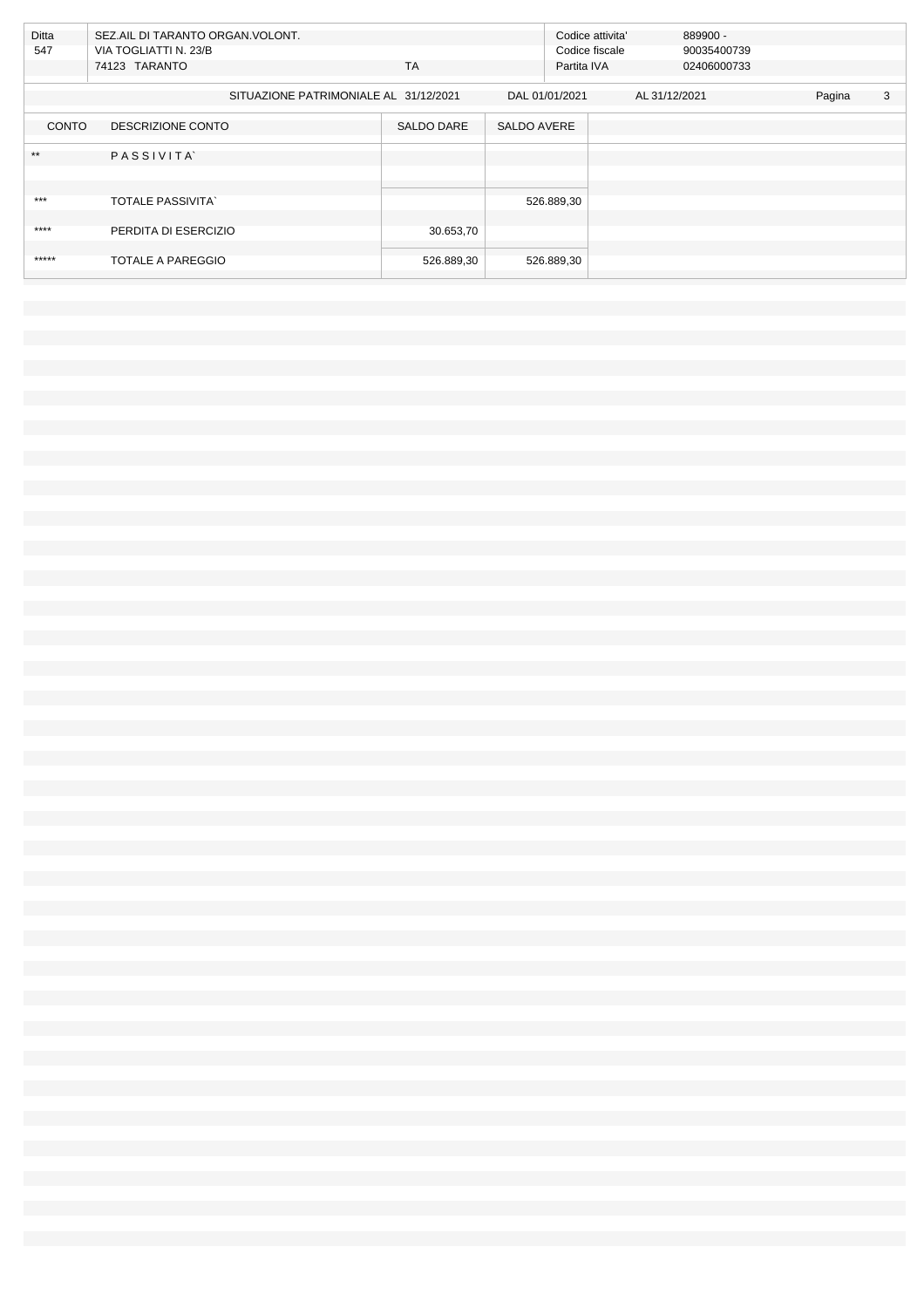| Ditta<br>547 | SEZ.AIL DI TARANTO ORGAN. VOLONT.<br>VIA TOGLIATTI N. 23/B<br><b>TA</b><br>74123 TARANTO |                   |                    | 889900 -<br>Codice attivita'<br>Codice fiscale<br>90035400739<br>Partita IVA<br>02406000733 |             |  |  |  |
|--------------|------------------------------------------------------------------------------------------|-------------------|--------------------|---------------------------------------------------------------------------------------------|-------------|--|--|--|
|              | SITUAZIONE PATRIMONIALE AL 31/12/2021                                                    |                   | DAL 01/01/2021     | AL 31/12/2021                                                                               | 3<br>Pagina |  |  |  |
| <b>CONTO</b> | DESCRIZIONE CONTO                                                                        | <b>SALDO DARE</b> | <b>SALDO AVERE</b> |                                                                                             |             |  |  |  |
| $**$         | PASSIVITA                                                                                |                   |                    |                                                                                             |             |  |  |  |
|              |                                                                                          |                   |                    |                                                                                             |             |  |  |  |
| ***          | <b>TOTALE PASSIVITA</b>                                                                  |                   | 526.889,30         |                                                                                             |             |  |  |  |
| $***$        | PERDITA DI ESERCIZIO                                                                     | 30.653,70         |                    |                                                                                             |             |  |  |  |
|              |                                                                                          |                   |                    |                                                                                             |             |  |  |  |
| *****        | TOTALE A PAREGGIO                                                                        | 526.889,30        | 526.889,30         |                                                                                             |             |  |  |  |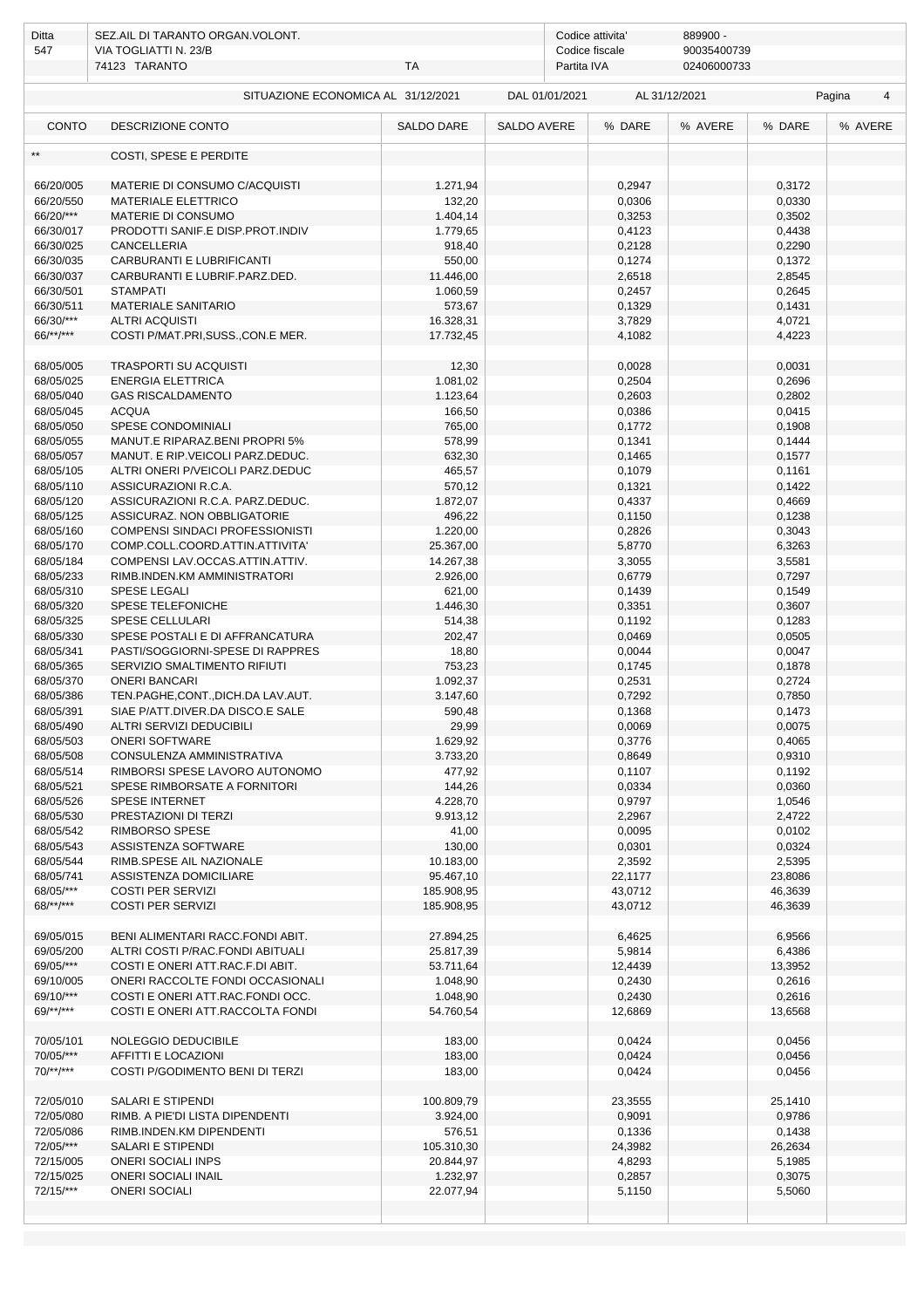| Ditta                              | SEZ.AIL DI TARANTO ORGAN. VOLONT.                           |                     |                    | Codice attivita' |               |                  |             |
|------------------------------------|-------------------------------------------------------------|---------------------|--------------------|------------------|---------------|------------------|-------------|
| 547                                | VIA TOGLIATTI N. 23/B                                       |                     |                    | Codice fiscale   | 90035400739   |                  |             |
|                                    | 74123 TARANTO                                               | TA                  |                    | Partita IVA      | 02406000733   |                  |             |
| SITUAZIONE ECONOMICA AL 31/12/2021 |                                                             |                     | DAL 01/01/2021     |                  | AL 31/12/2021 |                  | Pagina<br>4 |
| <b>CONTO</b>                       | <b>DESCRIZIONE CONTO</b>                                    | <b>SALDO DARE</b>   | <b>SALDO AVERE</b> | % DARE           | % AVERE       | % DARE           | % AVERE     |
|                                    | COSTI, SPESE E PERDITE                                      |                     |                    |                  |               |                  |             |
| 66/20/005                          | MATERIE DI CONSUMO C/ACQUISTI                               | 1.271,94            |                    | 0,2947           |               | 0,3172           |             |
| 66/20/550                          | <b>MATERIALE ELETTRICO</b>                                  | 132,20              |                    | 0,0306           |               | 0,0330           |             |
| 66/20/***                          | MATERIE DI CONSUMO                                          | 1.404,14            |                    | 0,3253           |               | 0,3502           |             |
| 66/30/017                          | PRODOTTI SANIF.E DISP.PROT.INDIV                            | 1.779,65            |                    | 0,4123           |               | 0,4438           |             |
| 66/30/025                          | CANCELLERIA                                                 | 918,40              |                    | 0,2128           |               | 0,2290           |             |
| 66/30/035                          | CARBURANTI E LUBRIFICANTI                                   | 550,00              |                    | 0,1274           |               | 0,1372           |             |
| 66/30/037                          | CARBURANTI E LUBRIF.PARZ.DED.                               | 11.446,00           |                    | 2,6518           |               | 2,8545           |             |
| 66/30/501                          | <b>STAMPATI</b>                                             | 1.060,59            |                    | 0,2457           |               | 0,2645           |             |
| 66/30/511                          | MATERIALE SANITARIO                                         | 573,67              |                    | 0,1329           |               | 0,1431           |             |
| 66/30/***                          | <b>ALTRI ACQUISTI</b>                                       | 16.328,31           |                    | 3,7829           |               | 4,0721           |             |
| $66$ /**/***                       | COSTI P/MAT.PRI,SUSS.,CON.E MER.                            | 17.732,45           |                    | 4,1082           |               | 4,4223           |             |
| 68/05/005                          | <b>TRASPORTI SU ACQUISTI</b>                                | 12,30               |                    | 0,0028           |               | 0,0031           |             |
| 68/05/025                          | <b>ENERGIA ELETTRICA</b>                                    | 1.081,02            |                    | 0,2504           |               | 0,2696           |             |
| 68/05/040                          | <b>GAS RISCALDAMENTO</b>                                    | 1.123,64            |                    | 0,2603           |               | 0,2802           |             |
| 68/05/045                          | <b>ACQUA</b>                                                | 166,50              |                    | 0,0386           |               | 0,0415           |             |
| 68/05/050                          | <b>SPESE CONDOMINIALI</b>                                   | 765,00              |                    | 0,1772           |               | 0,1908           |             |
| 68/05/055                          | MANUT.E RIPARAZ.BENI PROPRI 5%                              | 578,99              |                    | 0,1341           |               | 0,1444           |             |
| 68/05/057                          | MANUT. E RIP.VEICOLI PARZ.DEDUC.                            | 632,30              |                    | 0,1465           |               | 0,1577           |             |
| 68/05/105                          | ALTRI ONERI P/VEICOLI PARZ.DEDUC                            | 465,57              |                    | 0,1079           |               | 0,1161           |             |
| 68/05/110                          | ASSICURAZIONI R.C.A.                                        | 570,12              |                    | 0,1321           |               | 0,1422           |             |
| 68/05/120                          | ASSICURAZIONI R.C.A. PARZ.DEDUC.                            | 1.872,07            |                    | 0,4337           |               | 0,4669           |             |
| 68/05/125                          | ASSICURAZ. NON OBBLIGATORIE                                 | 496,22              |                    | 0,1150           |               | 0,1238           |             |
| 68/05/160                          | COMPENSI SINDACI PROFESSIONISTI                             | 1.220,00            |                    | 0,2826           |               | 0,3043           |             |
| 68/05/170                          | COMP.COLL.COORD.ATTIN.ATTIVITA'                             | 25.367,00           |                    | 5,8770           |               | 6,3263           |             |
| 68/05/184                          | COMPENSI LAV.OCCAS.ATTIN.ATTIV.                             | 14.267,38           |                    | 3,3055           |               | 3,5581           |             |
| 68/05/233<br>68/05/310             | RIMB.INDEN.KM AMMINISTRATORI<br><b>SPESE LEGALI</b>         | 2.926,00            |                    | 0,6779<br>0,1439 |               | 0,7297<br>0,1549 |             |
| 68/05/320                          | SPESE TELEFONICHE                                           | 621,00<br>1.446,30  |                    | 0,3351           |               | 0,3607           |             |
| 68/05/325                          | SPESE CELLULARI                                             | 514,38              |                    | 0,1192           |               | 0,1283           |             |
| 68/05/330                          | SPESE POSTALI E DI AFFRANCATURA                             | 202,47              |                    | 0,0469           |               | 0,0505           |             |
| 68/05/341                          | PASTI/SOGGIORNI-SPESE DI RAPPRES                            | 18,80               |                    | 0,0044           |               | 0,0047           |             |
| 68/05/365                          | SERVIZIO SMALTIMENTO RIFIUTI                                | 753,23              |                    | 0,1745           |               | 0,1878           |             |
| 68/05/370                          | <b>ONERI BANCARI</b>                                        | 1.092,37            |                    | 0,2531           |               | 0,2724           |             |
| 68/05/386                          | TEN.PAGHE,CONT.,DICH.DA LAV.AUT.                            | 3.147,60            |                    | 0,7292           |               | 0,7850           |             |
| 68/05/391                          | SIAE P/ATT.DIVER.DA DISCO.E SALE                            | 590,48              |                    | 0,1368           |               | 0,1473           |             |
| 68/05/490                          | ALTRI SERVIZI DEDUCIBILI                                    | 29,99               |                    | 0,0069           |               | 0,0075           |             |
| 68/05/503                          | <b>ONERI SOFTWARE</b>                                       | 1.629,92            |                    | 0,3776           |               | 0,4065           |             |
| 68/05/508                          | CONSULENZA AMMINISTRATIVA                                   | 3.733,20            |                    | 0,8649           |               | 0,9310           |             |
| 68/05/514                          | RIMBORSI SPESE LAVORO AUTONOMO                              | 477,92              |                    | 0,1107           |               | 0,1192           |             |
| 68/05/521                          | SPESE RIMBORSATE A FORNITORI                                | 144,26              |                    | 0,0334           |               | 0,0360           |             |
| 68/05/526                          | <b>SPESE INTERNET</b>                                       | 4.228,70            |                    | 0,9797           |               | 1,0546           |             |
| 68/05/530                          | PRESTAZIONI DI TERZI                                        | 9.913,12            |                    | 2,2967           |               | 2,4722           |             |
| 68/05/542                          | RIMBORSO SPESE                                              | 41,00               |                    | 0,0095           |               | 0,0102           |             |
| 68/05/543<br>68/05/544             | ASSISTENZA SOFTWARE<br>RIMB.SPESE AIL NAZIONALE             | 130,00<br>10.183,00 |                    | 0,0301<br>2,3592 |               | 0,0324<br>2,5395 |             |
| 68/05/741                          | ASSISTENZA DOMICILIARE                                      | 95.467,10           |                    | 22,1177          |               | 23,8086          |             |
| 68/05/***                          | <b>COSTI PER SERVIZI</b>                                    | 185.908,95          |                    | 43,0712          |               | 46,3639          |             |
| 68/**/***                          | <b>COSTI PER SERVIZI</b>                                    | 185.908,95          |                    | 43,0712          |               | 46,3639          |             |
|                                    |                                                             |                     |                    |                  |               |                  |             |
| 69/05/015                          | BENI ALIMENTARI RACC.FONDI ABIT.                            | 27.894,25           |                    | 6,4625           |               | 6,9566           |             |
| 69/05/200                          | ALTRI COSTI P/RAC.FONDI ABITUALI                            | 25.817,39           |                    | 5,9814           |               | 6,4386           |             |
| 69/05/***                          | COSTI E ONERI ATT.RAC.F.DI ABIT.                            | 53.711,64           |                    | 12,4439          |               | 13,3952          |             |
| 69/10/005                          | ONERI RACCOLTE FONDI OCCASIONALI                            | 1.048,90            |                    | 0,2430           |               | 0,2616           |             |
| 69/10/***                          | COSTI E ONERI ATT.RAC.FONDI OCC.                            | 1.048,90            |                    | 0,2430           |               | 0,2616           |             |
| $69$ /**/***                       | COSTI E ONERI ATT.RACCOLTA FONDI                            | 54.760,54           |                    | 12,6869          |               | 13,6568          |             |
| 70/05/101                          | NOLEGGIO DEDUCIBILE                                         | 183,00              |                    | 0,0424           |               | 0,0456           |             |
| 70/05/***                          | AFFITTI E LOCAZIONI                                         | 183,00              |                    | 0,0424           |               | 0,0456           |             |
| $70$ /**/***                       | COSTI P/GODIMENTO BENI DI TERZI                             | 183,00              |                    | 0,0424           |               | 0,0456           |             |
|                                    |                                                             |                     |                    |                  |               |                  |             |
| 72/05/010                          | SALARI E STIPENDI                                           | 100.809,79          |                    | 23,3555          |               | 25,1410          |             |
| 72/05/080<br>72/05/086             | RIMB. A PIE'DI LISTA DIPENDENTI<br>RIMB.INDEN.KM DIPENDENTI | 3.924,00<br>576,51  |                    | 0,9091<br>0,1336 |               | 0,9786<br>0,1438 |             |
| 72/05/***                          | SALARI E STIPENDI                                           | 105.310,30          |                    | 24,3982          |               | 26,2634          |             |
| 72/15/005                          | <b>ONERI SOCIALI INPS</b>                                   | 20.844,97           |                    | 4,8293           |               | 5,1985           |             |
| 72/15/025                          | <b>ONERI SOCIALI INAIL</b>                                  | 1.232,97            |                    | 0,2857           |               | 0,3075           |             |
| 72/15/***                          | <b>ONERI SOCIALI</b>                                        | 22.077,94           |                    | 5,1150           |               | 5,5060           |             |
|                                    |                                                             |                     |                    |                  |               |                  |             |
|                                    |                                                             |                     |                    |                  |               |                  |             |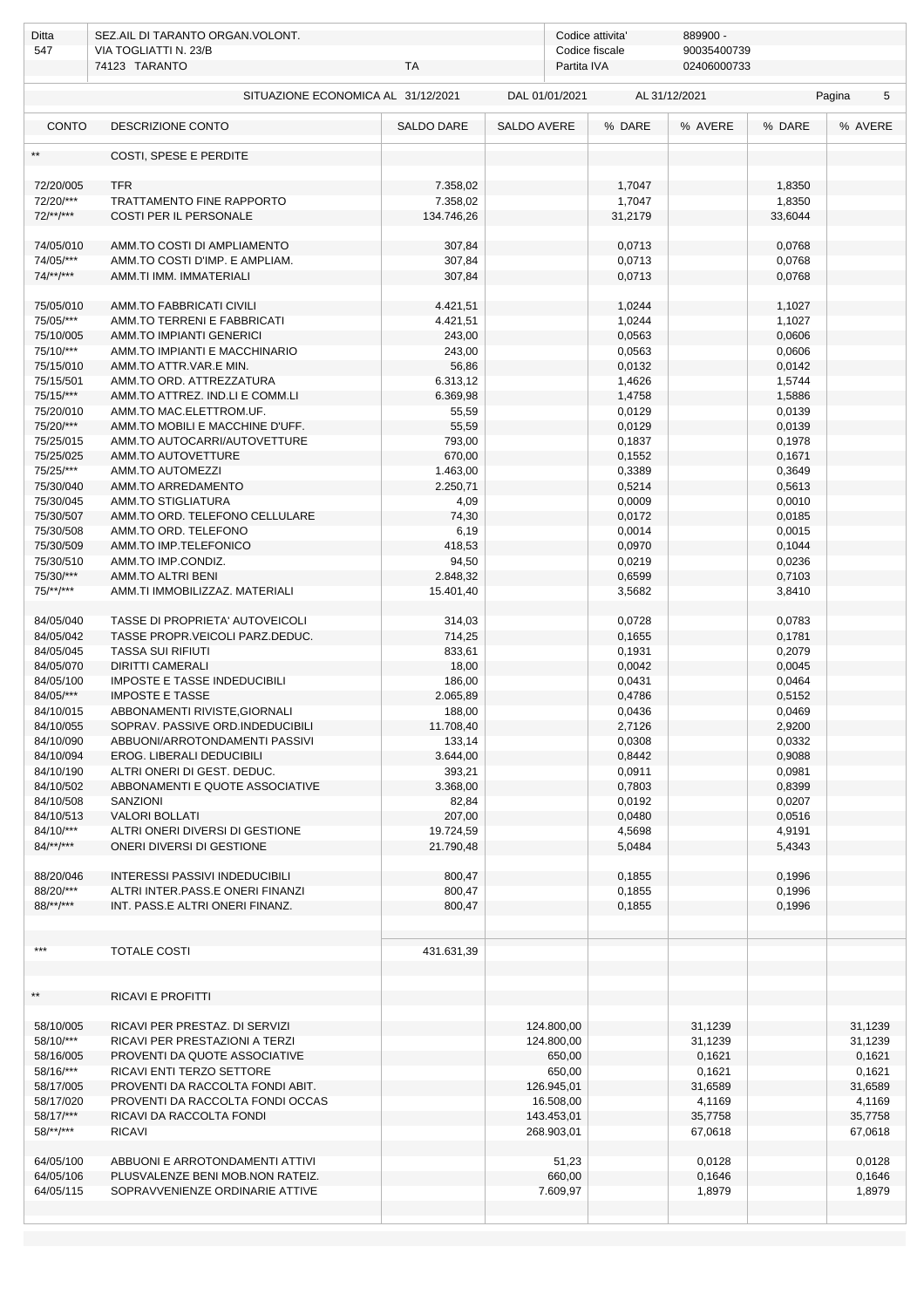| Ditta<br>547           | SEZ.AIL DI TARANTO ORGAN.VOLONT.<br>VIA TOGLIATTI N. 23/B<br>74123 TARANTO<br>TA |                    |                | 889900 -<br>Codice attivita'<br>90035400739<br>Codice fiscale<br>Partita IVA<br>02406000733 |                  |               |                  |         |  |
|------------------------|----------------------------------------------------------------------------------|--------------------|----------------|---------------------------------------------------------------------------------------------|------------------|---------------|------------------|---------|--|
|                        | SITUAZIONE ECONOMICA AL 31/12/2021                                               |                    | DAL 01/01/2021 |                                                                                             |                  | AL 31/12/2021 | Pagina<br>5      |         |  |
| <b>CONTO</b>           | DESCRIZIONE CONTO                                                                | <b>SALDO DARE</b>  | SALDO AVERE    |                                                                                             | % DARE           | % AVERE       | % DARE           | % AVERE |  |
| $\star\star$           | COSTI, SPESE E PERDITE                                                           |                    |                |                                                                                             |                  |               |                  |         |  |
| 72/20/005              | <b>TFR</b>                                                                       | 7.358,02           |                |                                                                                             | 1,7047           |               | 1,8350           |         |  |
| 72/20/***              | TRATTAMENTO FINE RAPPORTO                                                        | 7.358,02           |                |                                                                                             | 1,7047           |               | 1,8350           |         |  |
| $72$ /**/***           | <b>COSTI PER IL PERSONALE</b>                                                    | 134.746,26         |                |                                                                                             | 31,2179          |               | 33,6044          |         |  |
| 74/05/010              | AMM.TO COSTI DI AMPLIAMENTO                                                      | 307,84             |                |                                                                                             | 0,0713           |               | 0,0768           |         |  |
| 74/05/***              | AMM.TO COSTI D'IMP. E AMPLIAM.                                                   | 307,84             |                |                                                                                             | 0,0713           |               | 0,0768           |         |  |
| $74$ /**/***           | AMM.TI IMM. IMMATERIALI                                                          | 307,84             |                |                                                                                             | 0,0713           |               | 0,0768           |         |  |
| 75/05/010              | AMM.TO FABBRICATI CIVILI                                                         | 4.421,51           |                |                                                                                             | 1,0244           |               | 1,1027           |         |  |
| 75/05/***              | AMM.TO TERRENI E FABBRICATI                                                      | 4.421,51           |                |                                                                                             | 1,0244           |               | 1,1027           |         |  |
| 75/10/005              | <b>AMM.TO IMPIANTI GENERICI</b>                                                  | 243,00             |                |                                                                                             | 0,0563           |               | 0,0606           |         |  |
| 75/10/***              | AMM.TO IMPIANTI E MACCHINARIO                                                    | 243,00             |                |                                                                                             | 0,0563           |               | 0,0606           |         |  |
| 75/15/010              | AMM.TO ATTR.VAR.E MIN.                                                           | 56,86              |                |                                                                                             | 0,0132           |               | 0,0142           |         |  |
| 75/15/501              | AMM.TO ORD. ATTREZZATURA                                                         | 6.313,12           |                |                                                                                             | 1,4626           |               | 1,5744           |         |  |
| 75/15/***              | AMM.TO ATTREZ. IND.LI E COMM.LI                                                  | 6.369,98           |                |                                                                                             | 1,4758           |               | 1,5886           |         |  |
| 75/20/010              | AMM.TO MAC.ELETTROM.UF.                                                          | 55,59              |                |                                                                                             | 0,0129           |               | 0,0139           |         |  |
| 75/20/***<br>75/25/015 | AMM.TO MOBILI E MACCHINE D'UFF.<br>AMM.TO AUTOCARRI/AUTOVETTURE                  | 55,59              |                |                                                                                             | 0,0129<br>0,1837 |               | 0,0139<br>0,1978 |         |  |
| 75/25/025              | AMM.TO AUTOVETTURE                                                               | 793,00<br>670,00   |                |                                                                                             | 0,1552           |               | 0,1671           |         |  |
| 75/25/***              | AMM.TO AUTOMEZZI                                                                 | 1.463,00           |                |                                                                                             | 0,3389           |               | 0,3649           |         |  |
| 75/30/040              | AMM.TO ARREDAMENTO                                                               | 2.250,71           |                |                                                                                             | 0,5214           |               | 0,5613           |         |  |
| 75/30/045              | AMM.TO STIGLIATURA                                                               | 4,09               |                |                                                                                             | 0,0009           |               | 0,0010           |         |  |
| 75/30/507              | AMM.TO ORD. TELEFONO CELLULARE                                                   | 74,30              |                |                                                                                             | 0,0172           |               | 0,0185           |         |  |
| 75/30/508              | AMM.TO ORD. TELEFONO                                                             | 6,19               |                |                                                                                             | 0,0014           |               | 0,0015           |         |  |
| 75/30/509              | AMM.TO IMP.TELEFONICO                                                            | 418,53             |                |                                                                                             | 0,0970           |               | 0,1044           |         |  |
| 75/30/510              | AMM.TO IMP.CONDIZ.                                                               | 94,50              |                |                                                                                             | 0,0219           |               | 0,0236           |         |  |
| 75/30/***              | AMM.TO ALTRI BENI                                                                | 2.848,32           |                |                                                                                             | 0,6599           |               | 0,7103           |         |  |
| 75/**/***              | AMM.TI IMMOBILIZZAZ. MATERIALI                                                   | 15.401,40          |                |                                                                                             | 3,5682           |               | 3,8410           |         |  |
| 84/05/040              | TASSE DI PROPRIETA' AUTOVEICOLI                                                  | 314,03             |                |                                                                                             | 0,0728           |               | 0,0783           |         |  |
| 84/05/042              | TASSE PROPR.VEICOLI PARZ.DEDUC.                                                  | 714,25             |                |                                                                                             | 0,1655           |               | 0,1781           |         |  |
| 84/05/045              | <b>TASSA SUI RIFIUTI</b>                                                         | 833,61             |                |                                                                                             | 0,1931           |               | 0,2079           |         |  |
| 84/05/070              | <b>DIRITTI CAMERALI</b>                                                          | 18,00              |                |                                                                                             | 0,0042           |               | 0,0045           |         |  |
| 84/05/100              | <b>IMPOSTE E TASSE INDEDUCIBILI</b>                                              | 186,00             |                |                                                                                             | 0,0431           |               | 0,0464           |         |  |
| 84/05/***              | <b>IMPOSTE E TASSE</b>                                                           | 2.065,89           |                |                                                                                             | 0,4786           |               | 0,5152           |         |  |
| 84/10/015              | ABBONAMENTI RIVISTE, GIORNALI                                                    | 188,00             |                |                                                                                             | 0,0436           |               | 0,0469           |         |  |
| 84/10/055              | SOPRAV. PASSIVE ORD.INDEDUCIBILI                                                 | 11.708,40          |                |                                                                                             | 2,7126           |               | 2,9200           |         |  |
| 84/10/090<br>84/10/094 | ABBUONI/ARROTONDAMENTI PASSIVI                                                   | 133,14<br>3.644,00 |                |                                                                                             | 0,0308<br>0,8442 |               | 0,0332<br>0,9088 |         |  |
| 84/10/190              | EROG. LIBERALI DEDUCIBILI<br>ALTRI ONERI DI GEST. DEDUC.                         | 393,21             |                |                                                                                             | 0,0911           |               | 0,0981           |         |  |
| 84/10/502              | ABBONAMENTI E QUOTE ASSOCIATIVE                                                  | 3.368,00           |                |                                                                                             | 0,7803           |               | 0,8399           |         |  |
| 84/10/508              | SANZIONI                                                                         | 82,84              |                |                                                                                             | 0,0192           |               | 0,0207           |         |  |
| 84/10/513              | <b>VALORI BOLLATI</b>                                                            | 207,00             |                |                                                                                             | 0,0480           |               | 0,0516           |         |  |
| 84/10/***              | ALTRI ONERI DIVERSI DI GESTIONE                                                  | 19.724,59          |                |                                                                                             | 4,5698           |               | 4,9191           |         |  |
| $84$ /**/***           | ONERI DIVERSI DI GESTIONE                                                        | 21.790,48          |                |                                                                                             | 5,0484           |               | 5,4343           |         |  |
| 88/20/046              | <b>INTERESSI PASSIVI INDEDUCIBILI</b>                                            | 800,47             |                |                                                                                             | 0,1855           |               | 0,1996           |         |  |
| 88/20/***              | ALTRI INTER.PASS.E ONERI FINANZI                                                 | 800,47             |                |                                                                                             | 0,1855           |               | 0,1996           |         |  |
| $88$ /**/***           | INT. PASS.E ALTRI ONERI FINANZ.                                                  | 800,47             |                |                                                                                             | 0,1855           |               | 0,1996           |         |  |
|                        |                                                                                  |                    |                |                                                                                             |                  |               |                  |         |  |
| ***                    | <b>TOTALE COSTI</b>                                                              | 431.631,39         |                |                                                                                             |                  |               |                  |         |  |
|                        |                                                                                  |                    |                |                                                                                             |                  |               |                  |         |  |
| $\star\star$           | <b>RICAVI E PROFITTI</b>                                                         |                    |                |                                                                                             |                  |               |                  |         |  |
| 58/10/005              | RICAVI PER PRESTAZ. DI SERVIZI                                                   |                    | 124.800,00     |                                                                                             |                  | 31,1239       |                  | 31,1239 |  |
| 58/10/***              | RICAVI PER PRESTAZIONI A TERZI                                                   |                    | 124.800,00     |                                                                                             |                  | 31,1239       |                  | 31,1239 |  |
| 58/16/005              | PROVENTI DA QUOTE ASSOCIATIVE                                                    |                    |                | 650,00                                                                                      |                  | 0,1621        |                  | 0,1621  |  |
| 58/16/***              | RICAVI ENTI TERZO SETTORE                                                        |                    |                | 650,00                                                                                      |                  | 0,1621        |                  | 0,1621  |  |
| 58/17/005              | PROVENTI DA RACCOLTA FONDI ABIT.                                                 |                    | 126.945,01     |                                                                                             |                  | 31,6589       |                  | 31,6589 |  |
| 58/17/020              | PROVENTI DA RACCOLTA FONDI OCCAS                                                 |                    | 16.508,00      |                                                                                             |                  | 4,1169        |                  | 4,1169  |  |
| 58/17/***              | RICAVI DA RACCOLTA FONDI                                                         |                    | 143.453,01     |                                                                                             |                  | 35,7758       |                  | 35,7758 |  |
| $58$ /**/***           | <b>RICAVI</b>                                                                    |                    | 268.903,01     |                                                                                             |                  | 67,0618       |                  | 67,0618 |  |
| 64/05/100              | ABBUONI E ARROTONDAMENTI ATTIVI                                                  |                    |                | 51,23                                                                                       |                  | 0,0128        |                  | 0,0128  |  |
| 64/05/106              | PLUSVALENZE BENI MOB.NON RATEIZ.                                                 |                    |                | 660,00                                                                                      |                  | 0,1646        |                  | 0,1646  |  |
| 64/05/115              | SOPRAVVENIENZE ORDINARIE ATTIVE                                                  |                    |                | 7.609,97                                                                                    |                  | 1,8979        |                  | 1,8979  |  |
|                        |                                                                                  |                    |                |                                                                                             |                  |               |                  |         |  |